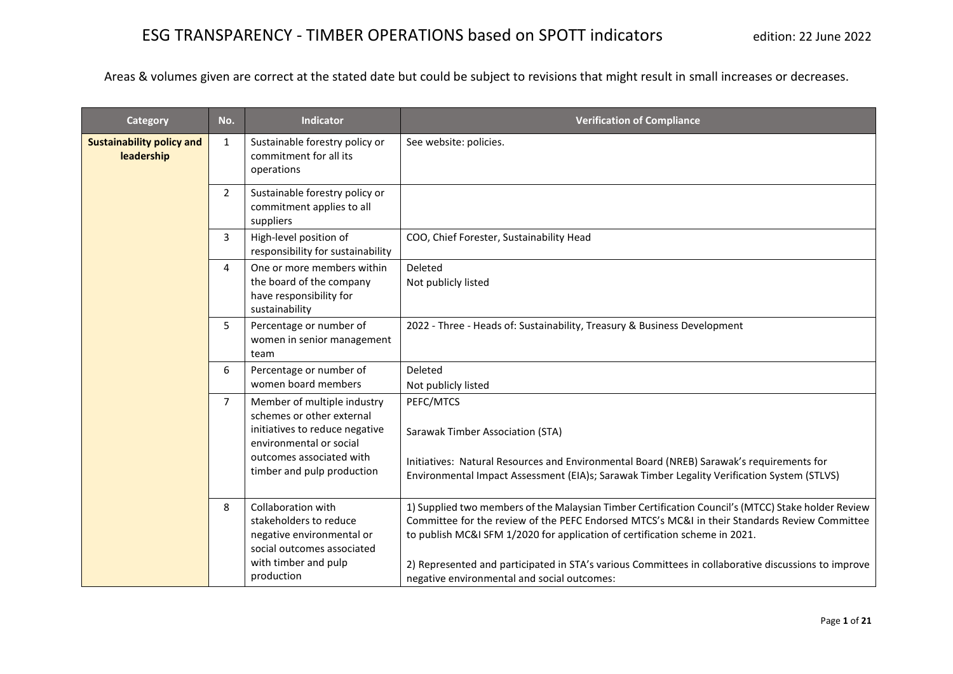| Category                                       | No.            | <b>Indicator</b>                                                                                                                                                                | <b>Verification of Compliance</b>                                                                                                                                                                                                                                                                                                                                                                                                        |
|------------------------------------------------|----------------|---------------------------------------------------------------------------------------------------------------------------------------------------------------------------------|------------------------------------------------------------------------------------------------------------------------------------------------------------------------------------------------------------------------------------------------------------------------------------------------------------------------------------------------------------------------------------------------------------------------------------------|
| <b>Sustainability policy and</b><br>leadership | 1              | Sustainable forestry policy or<br>commitment for all its<br>operations                                                                                                          | See website: policies.                                                                                                                                                                                                                                                                                                                                                                                                                   |
|                                                | $\overline{2}$ | Sustainable forestry policy or<br>commitment applies to all<br>suppliers                                                                                                        |                                                                                                                                                                                                                                                                                                                                                                                                                                          |
|                                                | 3              | High-level position of<br>responsibility for sustainability                                                                                                                     | COO, Chief Forester, Sustainability Head                                                                                                                                                                                                                                                                                                                                                                                                 |
|                                                | 4              | One or more members within<br>the board of the company<br>have responsibility for<br>sustainability                                                                             | Deleted<br>Not publicly listed                                                                                                                                                                                                                                                                                                                                                                                                           |
|                                                | 5              | Percentage or number of<br>women in senior management<br>team                                                                                                                   | 2022 - Three - Heads of: Sustainability, Treasury & Business Development                                                                                                                                                                                                                                                                                                                                                                 |
|                                                | 6              | Percentage or number of<br>women board members                                                                                                                                  | Deleted<br>Not publicly listed                                                                                                                                                                                                                                                                                                                                                                                                           |
|                                                | 7              | Member of multiple industry<br>schemes or other external<br>initiatives to reduce negative<br>environmental or social<br>outcomes associated with<br>timber and pulp production | PEFC/MTCS<br>Sarawak Timber Association (STA)<br>Initiatives: Natural Resources and Environmental Board (NREB) Sarawak's requirements for<br>Environmental Impact Assessment (EIA)s; Sarawak Timber Legality Verification System (STLVS)                                                                                                                                                                                                 |
|                                                | 8              | Collaboration with<br>stakeholders to reduce<br>negative environmental or<br>social outcomes associated<br>with timber and pulp<br>production                                   | 1) Supplied two members of the Malaysian Timber Certification Council's (MTCC) Stake holder Review<br>Committee for the review of the PEFC Endorsed MTCS's MC&I in their Standards Review Committee<br>to publish MC&I SFM 1/2020 for application of certification scheme in 2021.<br>2) Represented and participated in STA's various Committees in collaborative discussions to improve<br>negative environmental and social outcomes: |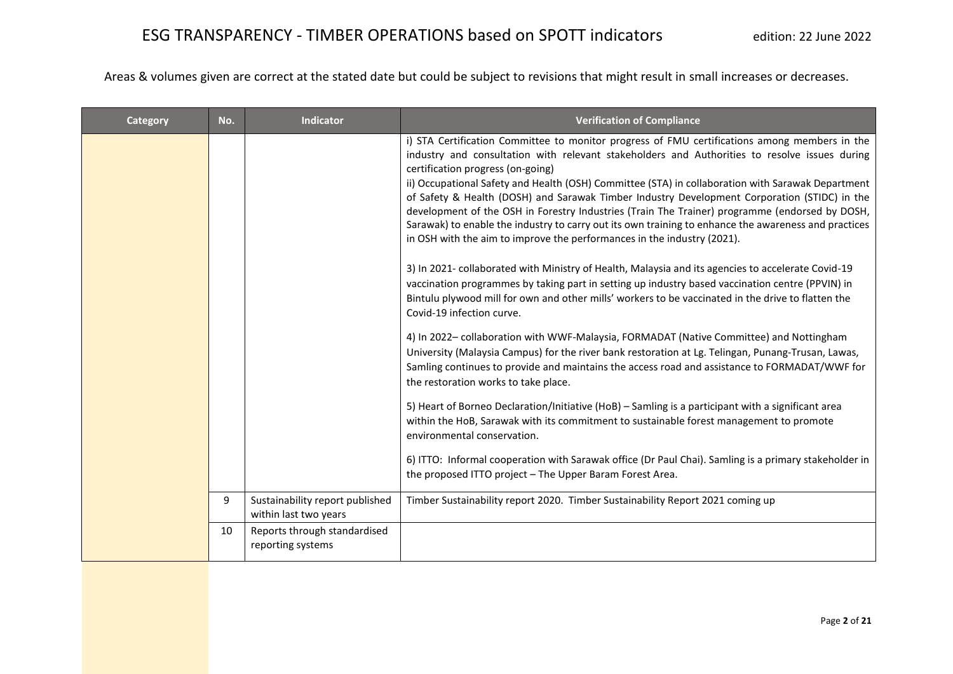| <b>Category</b> | No. | <b>Indicator</b>                                         | <b>Verification of Compliance</b>                                                                                                                                                                                                                                                                                                                                                                                                                                                                                                                                                                                                                                                                                                                                                                                                                                                                                                                                                                                                                                                                                                                                                                                                                                                                                                                                                                                                                                                                                                                                                                                                                                                                                                                                                                                        |
|-----------------|-----|----------------------------------------------------------|--------------------------------------------------------------------------------------------------------------------------------------------------------------------------------------------------------------------------------------------------------------------------------------------------------------------------------------------------------------------------------------------------------------------------------------------------------------------------------------------------------------------------------------------------------------------------------------------------------------------------------------------------------------------------------------------------------------------------------------------------------------------------------------------------------------------------------------------------------------------------------------------------------------------------------------------------------------------------------------------------------------------------------------------------------------------------------------------------------------------------------------------------------------------------------------------------------------------------------------------------------------------------------------------------------------------------------------------------------------------------------------------------------------------------------------------------------------------------------------------------------------------------------------------------------------------------------------------------------------------------------------------------------------------------------------------------------------------------------------------------------------------------------------------------------------------------|
|                 |     |                                                          | i) STA Certification Committee to monitor progress of FMU certifications among members in the<br>industry and consultation with relevant stakeholders and Authorities to resolve issues during<br>certification progress (on-going)<br>ii) Occupational Safety and Health (OSH) Committee (STA) in collaboration with Sarawak Department<br>of Safety & Health (DOSH) and Sarawak Timber Industry Development Corporation (STIDC) in the<br>development of the OSH in Forestry Industries (Train The Trainer) programme (endorsed by DOSH,<br>Sarawak) to enable the industry to carry out its own training to enhance the awareness and practices<br>in OSH with the aim to improve the performances in the industry (2021).<br>3) In 2021- collaborated with Ministry of Health, Malaysia and its agencies to accelerate Covid-19<br>vaccination programmes by taking part in setting up industry based vaccination centre (PPVIN) in<br>Bintulu plywood mill for own and other mills' workers to be vaccinated in the drive to flatten the<br>Covid-19 infection curve.<br>4) In 2022-collaboration with WWF-Malaysia, FORMADAT (Native Committee) and Nottingham<br>University (Malaysia Campus) for the river bank restoration at Lg. Telingan, Punang-Trusan, Lawas,<br>Samling continues to provide and maintains the access road and assistance to FORMADAT/WWF for<br>the restoration works to take place.<br>5) Heart of Borneo Declaration/Initiative (HoB) - Samling is a participant with a significant area<br>within the HoB, Sarawak with its commitment to sustainable forest management to promote<br>environmental conservation.<br>6) ITTO: Informal cooperation with Sarawak office (Dr Paul Chai). Samling is a primary stakeholder in<br>the proposed ITTO project - The Upper Baram Forest Area. |
|                 | 9   | Sustainability report published<br>within last two years | Timber Sustainability report 2020. Timber Sustainability Report 2021 coming up                                                                                                                                                                                                                                                                                                                                                                                                                                                                                                                                                                                                                                                                                                                                                                                                                                                                                                                                                                                                                                                                                                                                                                                                                                                                                                                                                                                                                                                                                                                                                                                                                                                                                                                                           |
|                 | 10  | Reports through standardised<br>reporting systems        |                                                                                                                                                                                                                                                                                                                                                                                                                                                                                                                                                                                                                                                                                                                                                                                                                                                                                                                                                                                                                                                                                                                                                                                                                                                                                                                                                                                                                                                                                                                                                                                                                                                                                                                                                                                                                          |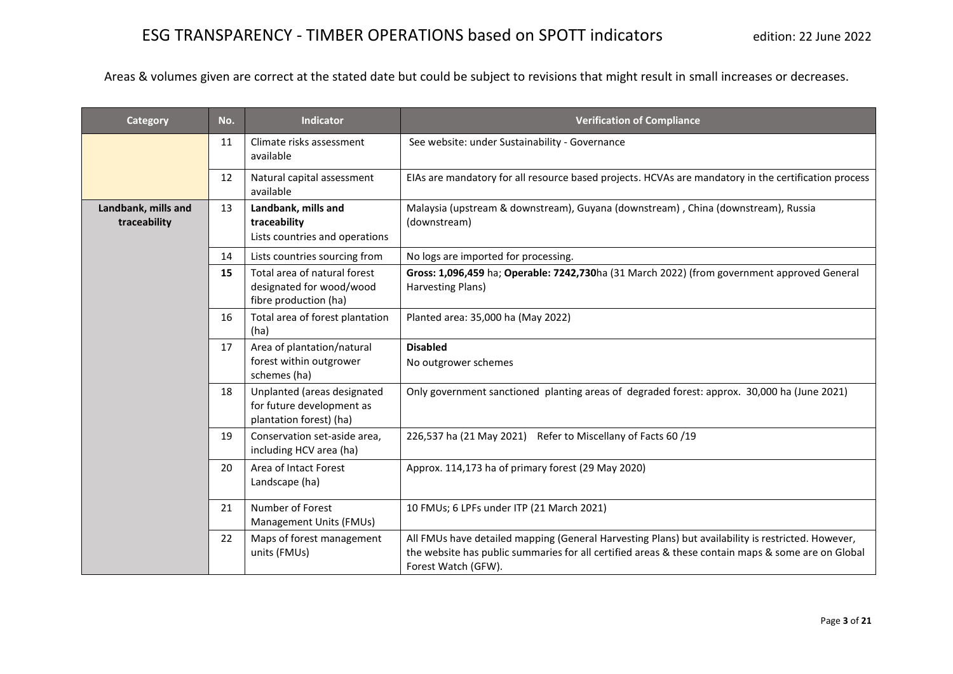| Category                            | No. | <b>Indicator</b>                                                                    | <b>Verification of Compliance</b>                                                                                                                                                                                               |
|-------------------------------------|-----|-------------------------------------------------------------------------------------|---------------------------------------------------------------------------------------------------------------------------------------------------------------------------------------------------------------------------------|
|                                     | 11  | Climate risks assessment<br>available                                               | See website: under Sustainability - Governance                                                                                                                                                                                  |
|                                     | 12  | Natural capital assessment<br>available                                             | EIAs are mandatory for all resource based projects. HCVAs are mandatory in the certification process                                                                                                                            |
| Landbank, mills and<br>traceability | 13  | Landbank, mills and<br>traceability<br>Lists countries and operations               | Malaysia (upstream & downstream), Guyana (downstream), China (downstream), Russia<br>(downstream)                                                                                                                               |
|                                     | 14  | Lists countries sourcing from                                                       | No logs are imported for processing.                                                                                                                                                                                            |
|                                     | 15  | Total area of natural forest<br>designated for wood/wood<br>fibre production (ha)   | Gross: 1,096,459 ha; Operable: 7242,730ha (31 March 2022) (from government approved General<br>Harvesting Plans)                                                                                                                |
|                                     | 16  | Total area of forest plantation<br>(ha)                                             | Planted area: 35,000 ha (May 2022)                                                                                                                                                                                              |
|                                     | 17  | Area of plantation/natural<br>forest within outgrower<br>schemes (ha)               | <b>Disabled</b><br>No outgrower schemes                                                                                                                                                                                         |
|                                     | 18  | Unplanted (areas designated<br>for future development as<br>plantation forest) (ha) | Only government sanctioned planting areas of degraded forest: approx. 30,000 ha (June 2021)                                                                                                                                     |
|                                     | 19  | Conservation set-aside area,<br>including HCV area (ha)                             | 226,537 ha (21 May 2021) Refer to Miscellany of Facts 60 /19                                                                                                                                                                    |
|                                     | 20  | Area of Intact Forest<br>Landscape (ha)                                             | Approx. 114,173 ha of primary forest (29 May 2020)                                                                                                                                                                              |
|                                     | 21  | Number of Forest<br>Management Units (FMUs)                                         | 10 FMUs; 6 LPFs under ITP (21 March 2021)                                                                                                                                                                                       |
|                                     | 22  | Maps of forest management<br>units (FMUs)                                           | All FMUs have detailed mapping (General Harvesting Plans) but availability is restricted. However,<br>the website has public summaries for all certified areas & these contain maps & some are on Global<br>Forest Watch (GFW). |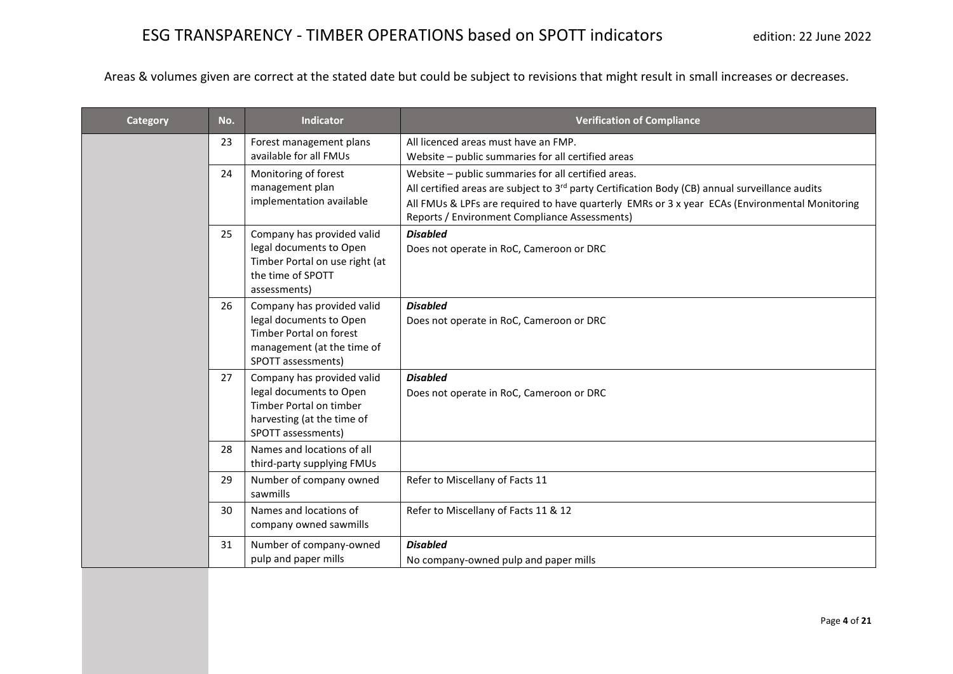| Category | No. | <b>Indicator</b>                                      | <b>Verification of Compliance</b>                                                                                                               |
|----------|-----|-------------------------------------------------------|-------------------------------------------------------------------------------------------------------------------------------------------------|
|          | 23  | Forest management plans                               | All licenced areas must have an FMP.                                                                                                            |
|          |     | available for all FMUs                                | Website - public summaries for all certified areas                                                                                              |
|          | 24  | Monitoring of forest                                  | Website - public summaries for all certified areas.                                                                                             |
|          |     | management plan<br>implementation available           | All certified areas are subject to $3rd$ party Certification Body (CB) annual surveillance audits                                               |
|          |     |                                                       | All FMUs & LPFs are required to have quarterly EMRs or 3 x year ECAs (Environmental Monitoring<br>Reports / Environment Compliance Assessments) |
|          | 25  | Company has provided valid                            | <b>Disabled</b>                                                                                                                                 |
|          |     | legal documents to Open                               | Does not operate in RoC, Cameroon or DRC                                                                                                        |
|          |     | Timber Portal on use right (at<br>the time of SPOTT   |                                                                                                                                                 |
|          |     | assessments)                                          |                                                                                                                                                 |
|          | 26  | Company has provided valid                            | <b>Disabled</b>                                                                                                                                 |
|          |     | legal documents to Open<br>Timber Portal on forest    | Does not operate in RoC, Cameroon or DRC                                                                                                        |
|          |     | management (at the time of                            |                                                                                                                                                 |
|          |     | SPOTT assessments)                                    |                                                                                                                                                 |
|          | 27  | Company has provided valid                            | <b>Disabled</b>                                                                                                                                 |
|          |     | legal documents to Open                               | Does not operate in RoC, Cameroon or DRC                                                                                                        |
|          |     | Timber Portal on timber<br>harvesting (at the time of |                                                                                                                                                 |
|          |     | SPOTT assessments)                                    |                                                                                                                                                 |
|          | 28  | Names and locations of all                            |                                                                                                                                                 |
|          |     | third-party supplying FMUs                            |                                                                                                                                                 |
|          | 29  | Number of company owned                               | Refer to Miscellany of Facts 11                                                                                                                 |
|          | 30  | sawmills<br>Names and locations of                    |                                                                                                                                                 |
|          |     | company owned sawmills                                | Refer to Miscellany of Facts 11 & 12                                                                                                            |
|          | 31  | Number of company-owned                               | <b>Disabled</b>                                                                                                                                 |
|          |     | pulp and paper mills                                  | No company-owned pulp and paper mills                                                                                                           |
|          |     |                                                       |                                                                                                                                                 |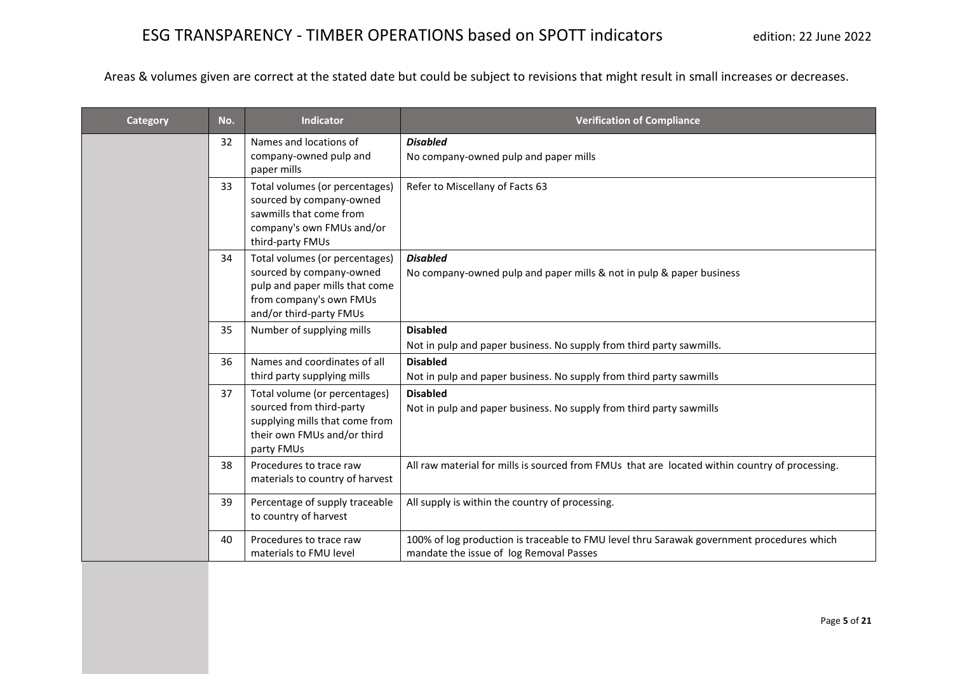| Category | No. | <b>Indicator</b>                                                                                                                       | <b>Verification of Compliance</b>                                                                                                    |
|----------|-----|----------------------------------------------------------------------------------------------------------------------------------------|--------------------------------------------------------------------------------------------------------------------------------------|
|          | 32  | Names and locations of<br>company-owned pulp and                                                                                       | <b>Disabled</b>                                                                                                                      |
|          |     | paper mills                                                                                                                            | No company-owned pulp and paper mills                                                                                                |
|          | 33  | Total volumes (or percentages)<br>sourced by company-owned<br>sawmills that come from<br>company's own FMUs and/or<br>third-party FMUs | Refer to Miscellany of Facts 63                                                                                                      |
|          | 34  | Total volumes (or percentages)                                                                                                         | <b>Disabled</b>                                                                                                                      |
|          |     | sourced by company-owned<br>pulp and paper mills that come                                                                             | No company-owned pulp and paper mills & not in pulp & paper business                                                                 |
|          |     | from company's own FMUs                                                                                                                |                                                                                                                                      |
|          |     | and/or third-party FMUs                                                                                                                |                                                                                                                                      |
|          | 35  | Number of supplying mills                                                                                                              | <b>Disabled</b>                                                                                                                      |
|          |     |                                                                                                                                        | Not in pulp and paper business. No supply from third party sawmills.                                                                 |
|          | 36  | Names and coordinates of all<br>third party supplying mills                                                                            | <b>Disabled</b><br>Not in pulp and paper business. No supply from third party sawmills                                               |
|          | 37  | Total volume (or percentages)                                                                                                          | <b>Disabled</b>                                                                                                                      |
|          |     | sourced from third-party                                                                                                               | Not in pulp and paper business. No supply from third party sawmills                                                                  |
|          |     | supplying mills that come from<br>their own FMUs and/or third                                                                          |                                                                                                                                      |
|          |     | party FMUs                                                                                                                             |                                                                                                                                      |
|          | 38  | Procedures to trace raw<br>materials to country of harvest                                                                             | All raw material for mills is sourced from FMUs that are located within country of processing.                                       |
|          | 39  | Percentage of supply traceable<br>to country of harvest                                                                                | All supply is within the country of processing.                                                                                      |
|          | 40  | Procedures to trace raw<br>materials to FMU level                                                                                      | 100% of log production is traceable to FMU level thru Sarawak government procedures which<br>mandate the issue of log Removal Passes |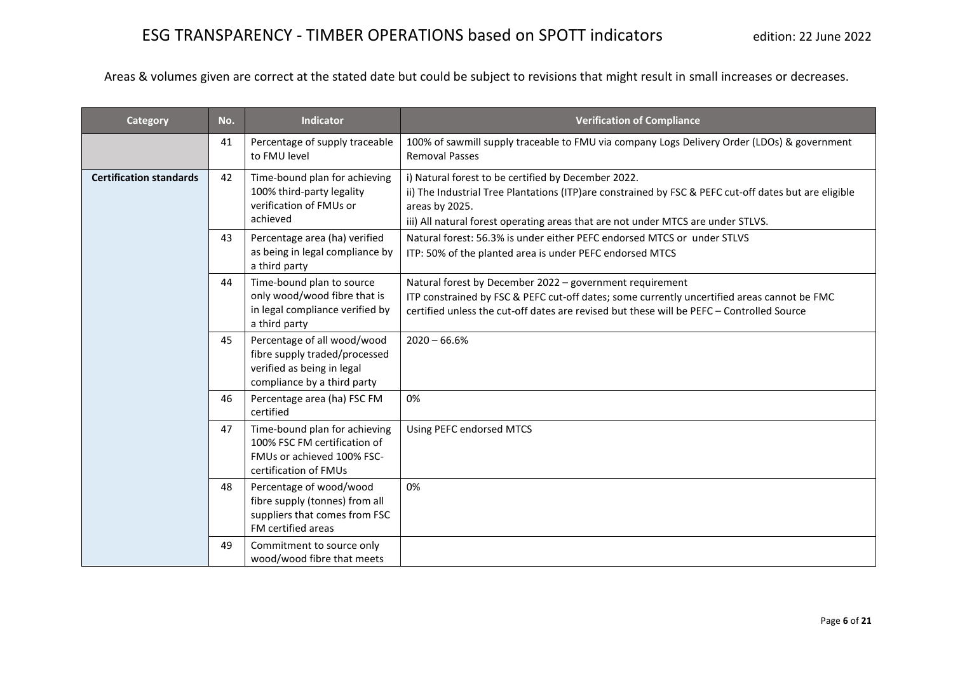| Category                       | No. | <b>Indicator</b>                                                                                                          | <b>Verification of Compliance</b>                                                                                                                                                                                                                                  |
|--------------------------------|-----|---------------------------------------------------------------------------------------------------------------------------|--------------------------------------------------------------------------------------------------------------------------------------------------------------------------------------------------------------------------------------------------------------------|
|                                | 41  | Percentage of supply traceable<br>to FMU level                                                                            | 100% of sawmill supply traceable to FMU via company Logs Delivery Order (LDOs) & government<br><b>Removal Passes</b>                                                                                                                                               |
| <b>Certification standards</b> | 42  | Time-bound plan for achieving<br>100% third-party legality<br>verification of FMUs or<br>achieved                         | i) Natural forest to be certified by December 2022.<br>ii) The Industrial Tree Plantations (ITP)are constrained by FSC & PEFC cut-off dates but are eligible<br>areas by 2025.<br>iii) All natural forest operating areas that are not under MTCS are under STLVS. |
|                                | 43  | Percentage area (ha) verified<br>as being in legal compliance by<br>a third party                                         | Natural forest: 56.3% is under either PEFC endorsed MTCS or under STLVS<br>ITP: 50% of the planted area is under PEFC endorsed MTCS                                                                                                                                |
|                                | 44  | Time-bound plan to source<br>only wood/wood fibre that is<br>in legal compliance verified by<br>a third party             | Natural forest by December 2022 - government requirement<br>ITP constrained by FSC & PEFC cut-off dates; some currently uncertified areas cannot be FMC<br>certified unless the cut-off dates are revised but these will be PEFC - Controlled Source               |
|                                | 45  | Percentage of all wood/wood<br>fibre supply traded/processed<br>verified as being in legal<br>compliance by a third party | $2020 - 66.6%$                                                                                                                                                                                                                                                     |
|                                | 46  | Percentage area (ha) FSC FM<br>certified                                                                                  | 0%                                                                                                                                                                                                                                                                 |
|                                | 47  | Time-bound plan for achieving<br>100% FSC FM certification of<br>FMUs or achieved 100% FSC-<br>certification of FMUs      | Using PEFC endorsed MTCS                                                                                                                                                                                                                                           |
|                                | 48  | Percentage of wood/wood<br>fibre supply (tonnes) from all<br>suppliers that comes from FSC<br>FM certified areas          | 0%                                                                                                                                                                                                                                                                 |
|                                | 49  | Commitment to source only<br>wood/wood fibre that meets                                                                   |                                                                                                                                                                                                                                                                    |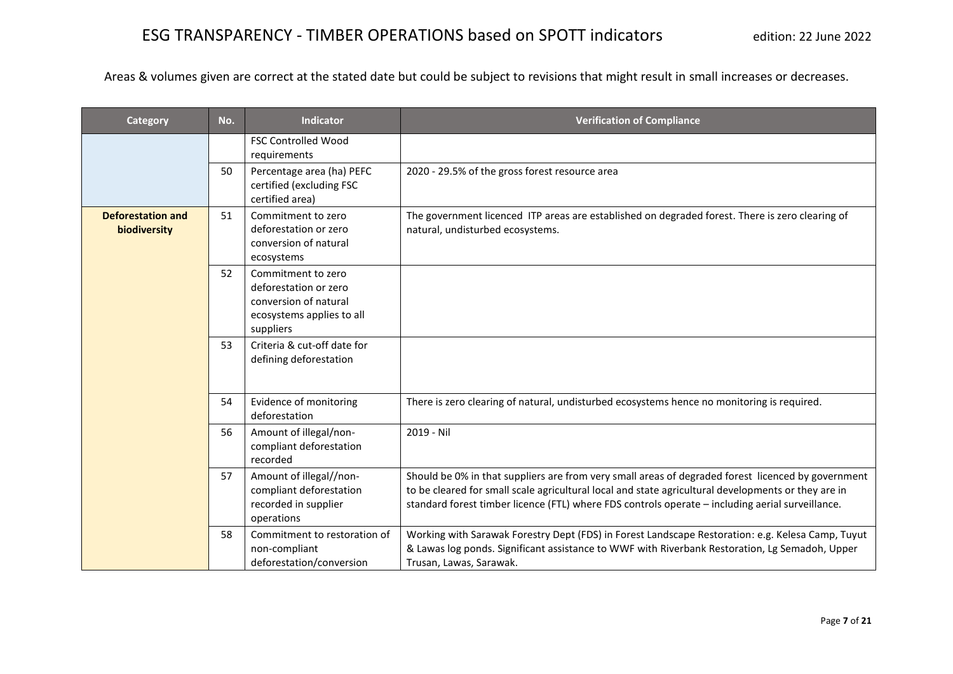| <b>Category</b>                          | No. | <b>Indicator</b>                                                                                               | <b>Verification of Compliance</b>                                                                                                                                                                                                                                                                             |
|------------------------------------------|-----|----------------------------------------------------------------------------------------------------------------|---------------------------------------------------------------------------------------------------------------------------------------------------------------------------------------------------------------------------------------------------------------------------------------------------------------|
|                                          |     | <b>FSC Controlled Wood</b><br>requirements                                                                     |                                                                                                                                                                                                                                                                                                               |
|                                          | 50  | Percentage area (ha) PEFC<br>certified (excluding FSC<br>certified area)                                       | 2020 - 29.5% of the gross forest resource area                                                                                                                                                                                                                                                                |
| <b>Deforestation and</b><br>biodiversity | 51  | Commitment to zero<br>deforestation or zero<br>conversion of natural<br>ecosystems                             | The government licenced ITP areas are established on degraded forest. There is zero clearing of<br>natural, undisturbed ecosystems.                                                                                                                                                                           |
|                                          | 52  | Commitment to zero<br>deforestation or zero<br>conversion of natural<br>ecosystems applies to all<br>suppliers |                                                                                                                                                                                                                                                                                                               |
|                                          | 53  | Criteria & cut-off date for<br>defining deforestation                                                          |                                                                                                                                                                                                                                                                                                               |
|                                          | 54  | Evidence of monitoring<br>deforestation                                                                        | There is zero clearing of natural, undisturbed ecosystems hence no monitoring is required.                                                                                                                                                                                                                    |
|                                          | 56  | Amount of illegal/non-<br>compliant deforestation<br>recorded                                                  | 2019 - Nil                                                                                                                                                                                                                                                                                                    |
|                                          | 57  | Amount of illegal//non-<br>compliant deforestation<br>recorded in supplier<br>operations                       | Should be 0% in that suppliers are from very small areas of degraded forest licenced by government<br>to be cleared for small scale agricultural local and state agricultural developments or they are in<br>standard forest timber licence (FTL) where FDS controls operate - including aerial surveillance. |
|                                          | 58  | Commitment to restoration of<br>non-compliant<br>deforestation/conversion                                      | Working with Sarawak Forestry Dept (FDS) in Forest Landscape Restoration: e.g. Kelesa Camp, Tuyut<br>& Lawas log ponds. Significant assistance to WWF with Riverbank Restoration, Lg Semadoh, Upper<br>Trusan, Lawas, Sarawak.                                                                                |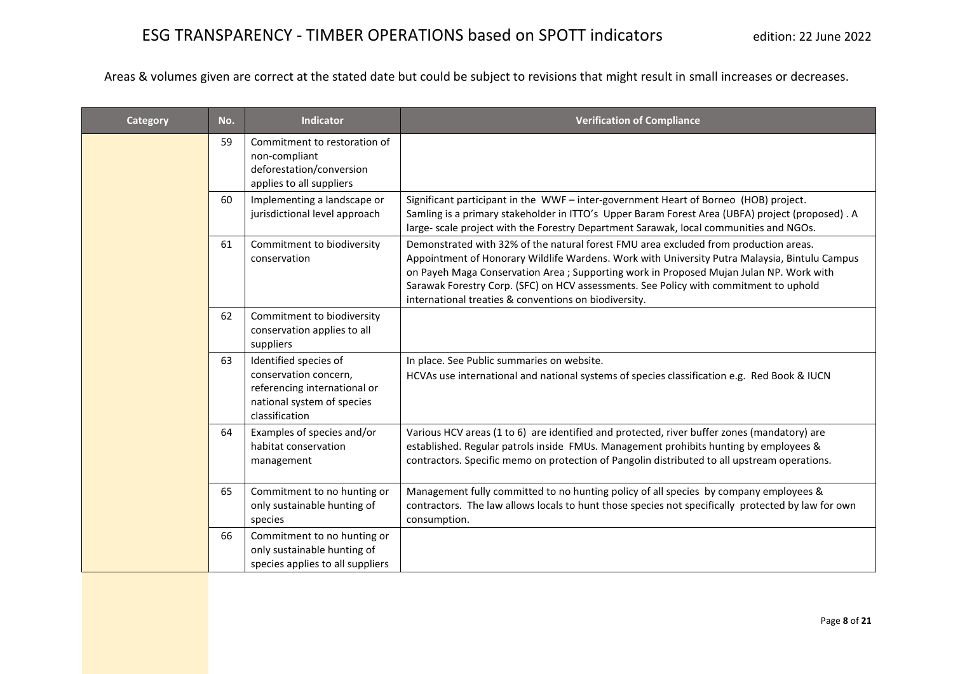| <b>Category</b> | No. | <b>Indicator</b>                                                                                                               | <b>Verification of Compliance</b>                                                                                                                                                                                                                                                                                                                                                                                                  |
|-----------------|-----|--------------------------------------------------------------------------------------------------------------------------------|------------------------------------------------------------------------------------------------------------------------------------------------------------------------------------------------------------------------------------------------------------------------------------------------------------------------------------------------------------------------------------------------------------------------------------|
|                 | 59  | Commitment to restoration of<br>non-compliant<br>deforestation/conversion<br>applies to all suppliers                          |                                                                                                                                                                                                                                                                                                                                                                                                                                    |
|                 | 60  | Implementing a landscape or<br>jurisdictional level approach                                                                   | Significant participant in the WWF - inter-government Heart of Borneo (HOB) project.<br>Samling is a primary stakeholder in ITTO's Upper Baram Forest Area (UBFA) project (proposed). A<br>large- scale project with the Forestry Department Sarawak, local communities and NGOs.                                                                                                                                                  |
|                 | 61  | Commitment to biodiversity<br>conservation                                                                                     | Demonstrated with 32% of the natural forest FMU area excluded from production areas.<br>Appointment of Honorary Wildlife Wardens. Work with University Putra Malaysia, Bintulu Campus<br>on Payeh Maga Conservation Area ; Supporting work in Proposed Mujan Julan NP. Work with<br>Sarawak Forestry Corp. (SFC) on HCV assessments. See Policy with commitment to uphold<br>international treaties & conventions on biodiversity. |
|                 | 62  | Commitment to biodiversity<br>conservation applies to all<br>suppliers                                                         |                                                                                                                                                                                                                                                                                                                                                                                                                                    |
|                 | 63  | Identified species of<br>conservation concern,<br>referencing international or<br>national system of species<br>classification | In place. See Public summaries on website.<br>HCVAs use international and national systems of species classification e.g. Red Book & IUCN                                                                                                                                                                                                                                                                                          |
|                 | 64  | Examples of species and/or<br>habitat conservation<br>management                                                               | Various HCV areas (1 to 6) are identified and protected, river buffer zones (mandatory) are<br>established. Regular patrols inside FMUs. Management prohibits hunting by employees &<br>contractors. Specific memo on protection of Pangolin distributed to all upstream operations.                                                                                                                                               |
|                 | 65  | Commitment to no hunting or<br>only sustainable hunting of<br>species                                                          | Management fully committed to no hunting policy of all species by company employees &<br>contractors. The law allows locals to hunt those species not specifically protected by law for own<br>consumption.                                                                                                                                                                                                                        |
|                 | 66  | Commitment to no hunting or<br>only sustainable hunting of<br>species applies to all suppliers                                 |                                                                                                                                                                                                                                                                                                                                                                                                                                    |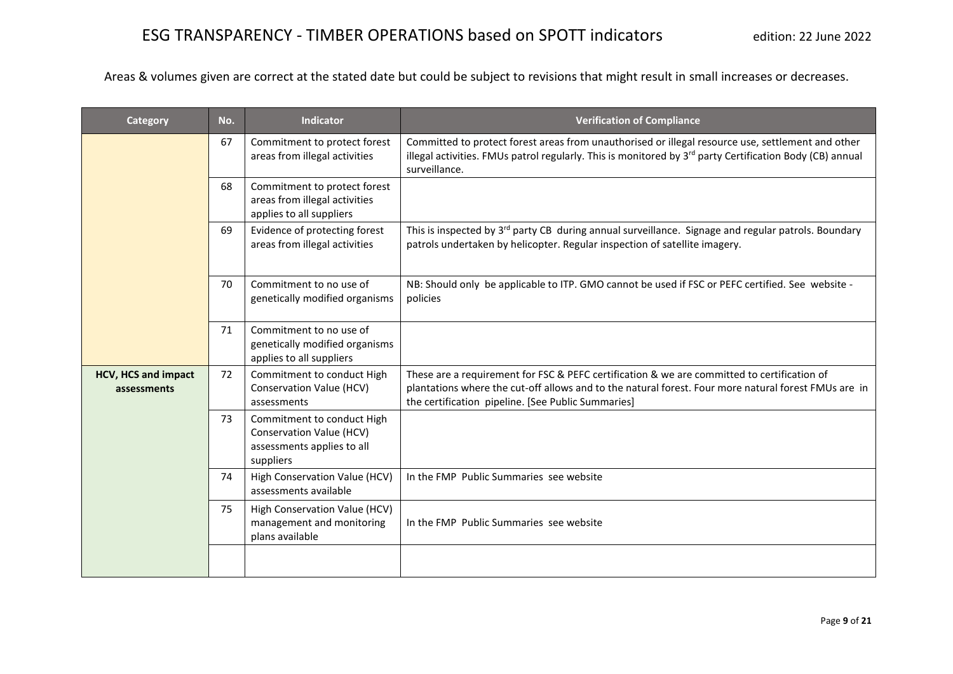| Category                                  | No. | <b>Indicator</b>                                                                                  | <b>Verification of Compliance</b>                                                                                                                                                                                                                         |
|-------------------------------------------|-----|---------------------------------------------------------------------------------------------------|-----------------------------------------------------------------------------------------------------------------------------------------------------------------------------------------------------------------------------------------------------------|
|                                           | 67  | Commitment to protect forest<br>areas from illegal activities                                     | Committed to protect forest areas from unauthorised or illegal resource use, settlement and other<br>illegal activities. FMUs patrol regularly. This is monitored by 3 <sup>rd</sup> party Certification Body (CB) annual<br>surveillance.                |
|                                           | 68  | Commitment to protect forest<br>areas from illegal activities<br>applies to all suppliers         |                                                                                                                                                                                                                                                           |
|                                           | 69  | Evidence of protecting forest<br>areas from illegal activities                                    | This is inspected by 3 <sup>rd</sup> party CB during annual surveillance. Signage and regular patrols. Boundary<br>patrols undertaken by helicopter. Regular inspection of satellite imagery.                                                             |
|                                           | 70  | Commitment to no use of<br>genetically modified organisms                                         | NB: Should only be applicable to ITP. GMO cannot be used if FSC or PEFC certified. See website -<br>policies                                                                                                                                              |
|                                           | 71  | Commitment to no use of<br>genetically modified organisms<br>applies to all suppliers             |                                                                                                                                                                                                                                                           |
| <b>HCV, HCS and impact</b><br>assessments | 72  | Commitment to conduct High<br>Conservation Value (HCV)<br>assessments                             | These are a requirement for FSC & PEFC certification & we are committed to certification of<br>plantations where the cut-off allows and to the natural forest. Four more natural forest FMUs are in<br>the certification pipeline. [See Public Summaries] |
|                                           | 73  | Commitment to conduct High<br>Conservation Value (HCV)<br>assessments applies to all<br>suppliers |                                                                                                                                                                                                                                                           |
|                                           | 74  | High Conservation Value (HCV)<br>assessments available                                            | In the FMP Public Summaries see website                                                                                                                                                                                                                   |
|                                           | 75  | High Conservation Value (HCV)<br>management and monitoring<br>plans available                     | In the FMP Public Summaries see website                                                                                                                                                                                                                   |
|                                           |     |                                                                                                   |                                                                                                                                                                                                                                                           |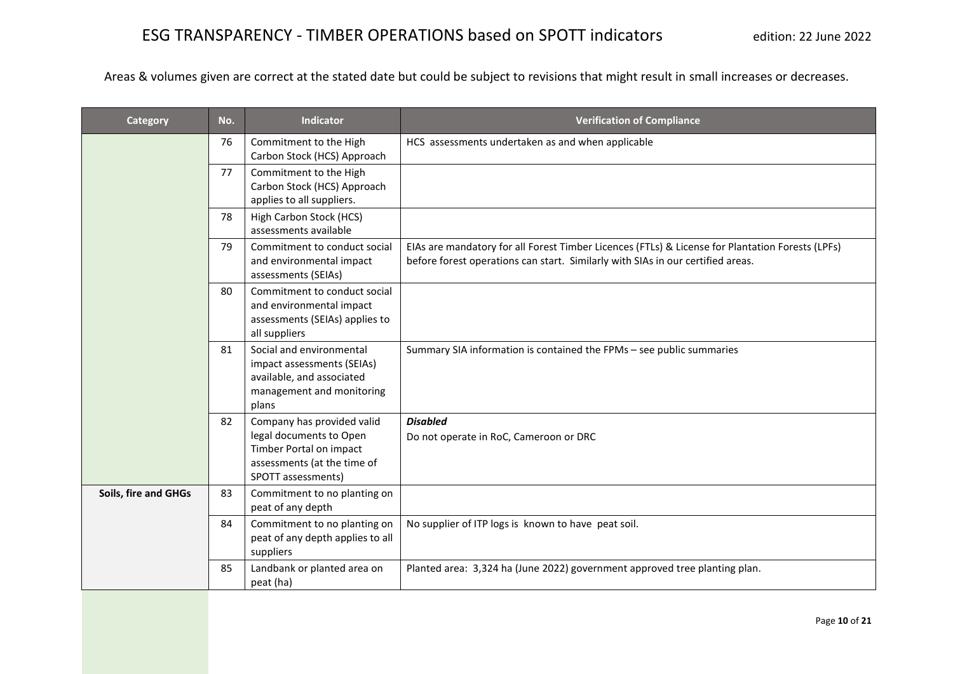| Category             | No. | <b>Indicator</b>                                                                                                                      | <b>Verification of Compliance</b>                                                                                                                                                   |
|----------------------|-----|---------------------------------------------------------------------------------------------------------------------------------------|-------------------------------------------------------------------------------------------------------------------------------------------------------------------------------------|
|                      | 76  | Commitment to the High<br>Carbon Stock (HCS) Approach                                                                                 | HCS assessments undertaken as and when applicable                                                                                                                                   |
|                      | 77  | Commitment to the High<br>Carbon Stock (HCS) Approach<br>applies to all suppliers.                                                    |                                                                                                                                                                                     |
|                      | 78  | High Carbon Stock (HCS)<br>assessments available                                                                                      |                                                                                                                                                                                     |
|                      | 79  | Commitment to conduct social<br>and environmental impact<br>assessments (SEIAs)                                                       | EIAs are mandatory for all Forest Timber Licences (FTLs) & License for Plantation Forests (LPFs)<br>before forest operations can start. Similarly with SIAs in our certified areas. |
|                      | 80  | Commitment to conduct social<br>and environmental impact<br>assessments (SEIAs) applies to<br>all suppliers                           |                                                                                                                                                                                     |
|                      | 81  | Social and environmental<br>impact assessments (SEIAs)<br>available, and associated<br>management and monitoring<br>plans             | Summary SIA information is contained the FPMs - see public summaries                                                                                                                |
|                      | 82  | Company has provided valid<br>legal documents to Open<br>Timber Portal on impact<br>assessments (at the time of<br>SPOTT assessments) | <b>Disabled</b><br>Do not operate in RoC, Cameroon or DRC                                                                                                                           |
| Soils, fire and GHGs | 83  | Commitment to no planting on<br>peat of any depth                                                                                     |                                                                                                                                                                                     |
|                      | 84  | Commitment to no planting on<br>peat of any depth applies to all<br>suppliers                                                         | No supplier of ITP logs is known to have peat soil.                                                                                                                                 |
|                      | 85  | Landbank or planted area on<br>peat (ha)                                                                                              | Planted area: 3,324 ha (June 2022) government approved tree planting plan.                                                                                                          |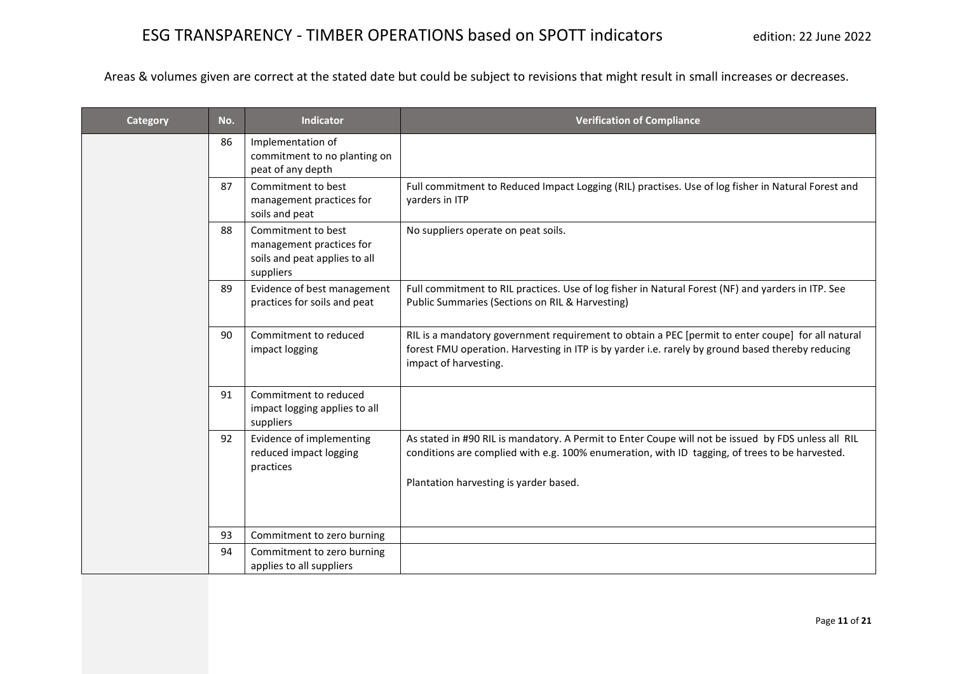| Category | No. | <b>Indicator</b>                                                                             | <b>Verification of Compliance</b>                                                                                                                                                                                                               |
|----------|-----|----------------------------------------------------------------------------------------------|-------------------------------------------------------------------------------------------------------------------------------------------------------------------------------------------------------------------------------------------------|
|          | 86  | Implementation of<br>commitment to no planting on<br>peat of any depth                       |                                                                                                                                                                                                                                                 |
|          | 87  | Commitment to best<br>management practices for<br>soils and peat                             | Full commitment to Reduced Impact Logging (RIL) practises. Use of log fisher in Natural Forest and<br>yarders in ITP                                                                                                                            |
|          | 88  | Commitment to best<br>management practices for<br>soils and peat applies to all<br>suppliers | No suppliers operate on peat soils.                                                                                                                                                                                                             |
|          | 89  | Evidence of best management<br>practices for soils and peat                                  | Full commitment to RIL practices. Use of log fisher in Natural Forest (NF) and yarders in ITP. See<br>Public Summaries (Sections on RIL & Harvesting)                                                                                           |
|          | 90  | Commitment to reduced<br>impact logging                                                      | RIL is a mandatory government requirement to obtain a PEC [permit to enter coupe] for all natural<br>forest FMU operation. Harvesting in ITP is by yarder i.e. rarely by ground based thereby reducing<br>impact of harvesting.                 |
|          | 91  | Commitment to reduced<br>impact logging applies to all<br>suppliers                          |                                                                                                                                                                                                                                                 |
|          | 92  | Evidence of implementing<br>reduced impact logging<br>practices                              | As stated in #90 RIL is mandatory. A Permit to Enter Coupe will not be issued by FDS unless all RIL<br>conditions are complied with e.g. 100% enumeration, with ID tagging, of trees to be harvested.<br>Plantation harvesting is yarder based. |
|          | 93  | Commitment to zero burning                                                                   |                                                                                                                                                                                                                                                 |
|          | 94  | Commitment to zero burning<br>applies to all suppliers                                       |                                                                                                                                                                                                                                                 |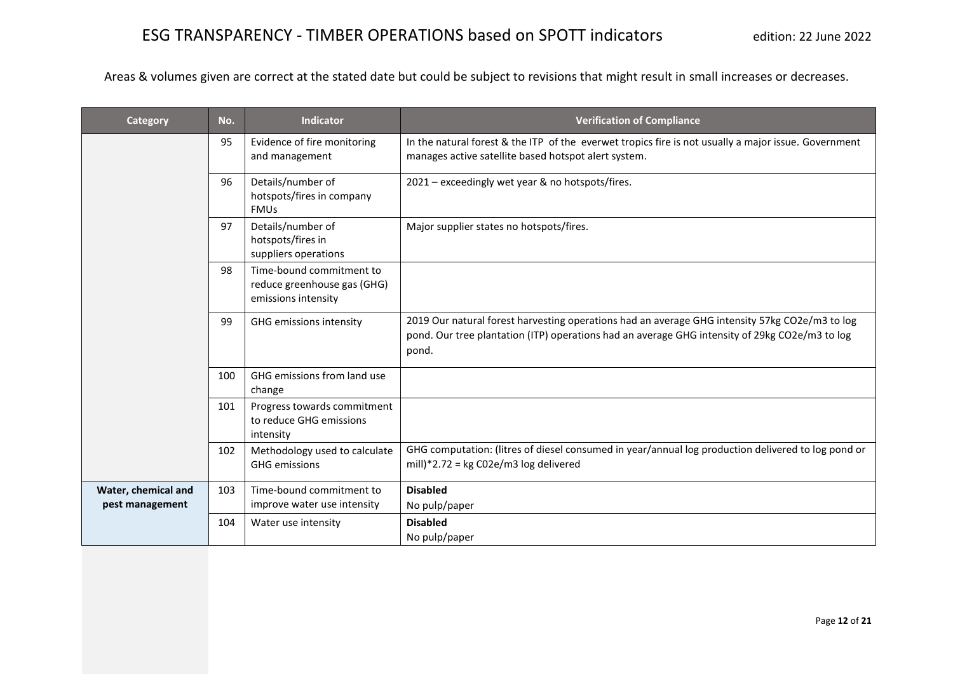| <b>Category</b>                        | No. | <b>Indicator</b>                                                               | <b>Verification of Compliance</b>                                                                                                                                                                         |
|----------------------------------------|-----|--------------------------------------------------------------------------------|-----------------------------------------------------------------------------------------------------------------------------------------------------------------------------------------------------------|
|                                        | 95  | Evidence of fire monitoring<br>and management                                  | In the natural forest & the ITP of the everwet tropics fire is not usually a major issue. Government<br>manages active satellite based hotspot alert system.                                              |
|                                        | 96  | Details/number of<br>hotspots/fires in company<br><b>FMUs</b>                  | 2021 - exceedingly wet year & no hotspots/fires.                                                                                                                                                          |
|                                        | 97  | Details/number of<br>hotspots/fires in<br>suppliers operations                 | Major supplier states no hotspots/fires.                                                                                                                                                                  |
|                                        | 98  | Time-bound commitment to<br>reduce greenhouse gas (GHG)<br>emissions intensity |                                                                                                                                                                                                           |
|                                        | 99  | GHG emissions intensity                                                        | 2019 Our natural forest harvesting operations had an average GHG intensity 57kg CO2e/m3 to log<br>pond. Our tree plantation (ITP) operations had an average GHG intensity of 29kg CO2e/m3 to log<br>pond. |
|                                        | 100 | GHG emissions from land use<br>change                                          |                                                                                                                                                                                                           |
|                                        | 101 | Progress towards commitment<br>to reduce GHG emissions<br>intensity            |                                                                                                                                                                                                           |
|                                        | 102 | Methodology used to calculate<br><b>GHG</b> emissions                          | GHG computation: (litres of diesel consumed in year/annual log production delivered to log pond or<br>mill)*2.72 = $kg CO2e/m3 log$ delivered                                                             |
| Water, chemical and<br>pest management | 103 | Time-bound commitment to<br>improve water use intensity                        | <b>Disabled</b><br>No pulp/paper                                                                                                                                                                          |
|                                        | 104 | Water use intensity                                                            | <b>Disabled</b><br>No pulp/paper                                                                                                                                                                          |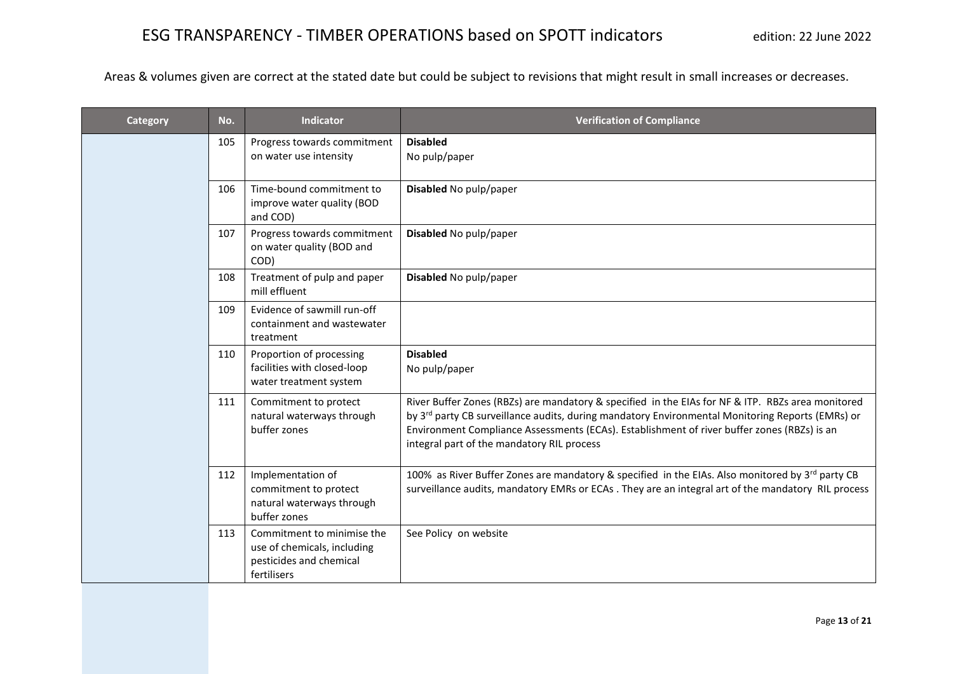| Category | No. | <b>Indicator</b>                                                                                    | <b>Verification of Compliance</b>                                                                                                                                                                                                                                                                                                                              |
|----------|-----|-----------------------------------------------------------------------------------------------------|----------------------------------------------------------------------------------------------------------------------------------------------------------------------------------------------------------------------------------------------------------------------------------------------------------------------------------------------------------------|
|          | 105 | Progress towards commitment<br>on water use intensity                                               | <b>Disabled</b><br>No pulp/paper                                                                                                                                                                                                                                                                                                                               |
|          | 106 | Time-bound commitment to<br>improve water quality (BOD<br>and COD)                                  | Disabled No pulp/paper                                                                                                                                                                                                                                                                                                                                         |
|          | 107 | Progress towards commitment<br>on water quality (BOD and<br>COD)                                    | Disabled No pulp/paper                                                                                                                                                                                                                                                                                                                                         |
|          | 108 | Treatment of pulp and paper<br>mill effluent                                                        | Disabled No pulp/paper                                                                                                                                                                                                                                                                                                                                         |
|          | 109 | Evidence of sawmill run-off<br>containment and wastewater<br>treatment                              |                                                                                                                                                                                                                                                                                                                                                                |
|          | 110 | Proportion of processing<br>facilities with closed-loop<br>water treatment system                   | <b>Disabled</b><br>No pulp/paper                                                                                                                                                                                                                                                                                                                               |
|          | 111 | Commitment to protect<br>natural waterways through<br>buffer zones                                  | River Buffer Zones (RBZs) are mandatory & specified in the EIAs for NF & ITP. RBZs area monitored<br>by 3 <sup>rd</sup> party CB surveillance audits, during mandatory Environmental Monitoring Reports (EMRs) or<br>Environment Compliance Assessments (ECAs). Establishment of river buffer zones (RBZs) is an<br>integral part of the mandatory RIL process |
|          | 112 | Implementation of<br>commitment to protect<br>natural waterways through<br>buffer zones             | 100% as River Buffer Zones are mandatory & specified in the EIAs. Also monitored by 3 <sup>rd</sup> party CB<br>surveillance audits, mandatory EMRs or ECAs . They are an integral art of the mandatory RIL process                                                                                                                                            |
|          | 113 | Commitment to minimise the<br>use of chemicals, including<br>pesticides and chemical<br>fertilisers | See Policy on website                                                                                                                                                                                                                                                                                                                                          |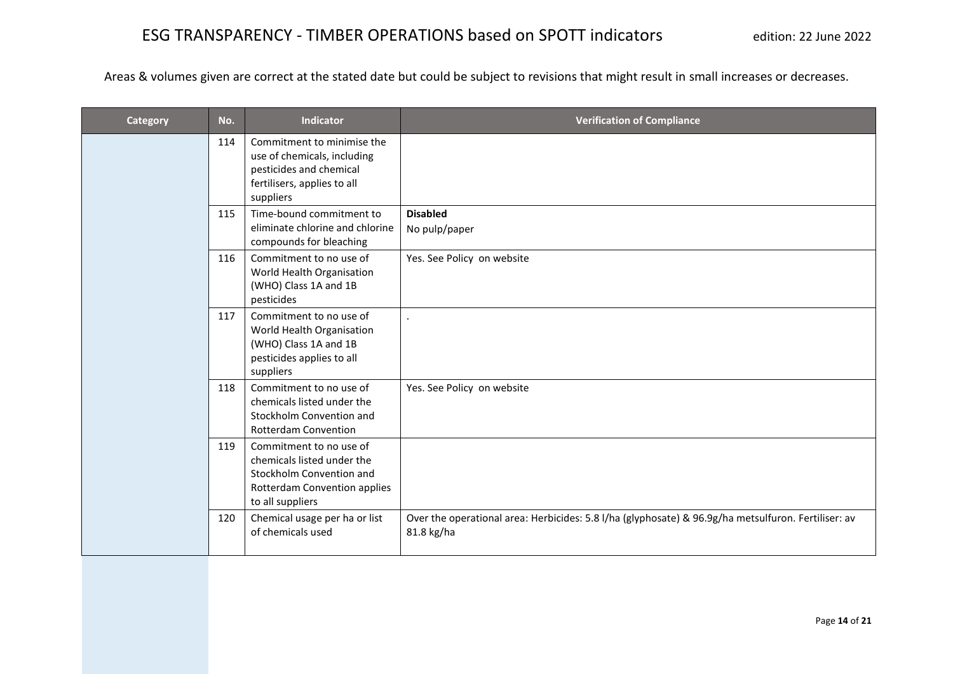| <b>Category</b> | No. | <b>Indicator</b>                                                                                                                      | <b>Verification of Compliance</b>                                                                                 |
|-----------------|-----|---------------------------------------------------------------------------------------------------------------------------------------|-------------------------------------------------------------------------------------------------------------------|
|                 | 114 | Commitment to minimise the<br>use of chemicals, including<br>pesticides and chemical<br>fertilisers, applies to all<br>suppliers      |                                                                                                                   |
|                 | 115 | Time-bound commitment to<br>eliminate chlorine and chlorine<br>compounds for bleaching                                                | <b>Disabled</b><br>No pulp/paper                                                                                  |
|                 | 116 | Commitment to no use of<br>World Health Organisation<br>(WHO) Class 1A and 1B<br>pesticides                                           | Yes. See Policy on website                                                                                        |
|                 | 117 | Commitment to no use of<br>World Health Organisation<br>(WHO) Class 1A and 1B<br>pesticides applies to all<br>suppliers               |                                                                                                                   |
|                 | 118 | Commitment to no use of<br>chemicals listed under the<br>Stockholm Convention and<br>Rotterdam Convention                             | Yes. See Policy on website                                                                                        |
|                 | 119 | Commitment to no use of<br>chemicals listed under the<br>Stockholm Convention and<br>Rotterdam Convention applies<br>to all suppliers |                                                                                                                   |
|                 | 120 | Chemical usage per ha or list<br>of chemicals used                                                                                    | Over the operational area: Herbicides: 5.8 l/ha (glyphosate) & 96.9g/ha metsulfuron. Fertiliser: av<br>81.8 kg/ha |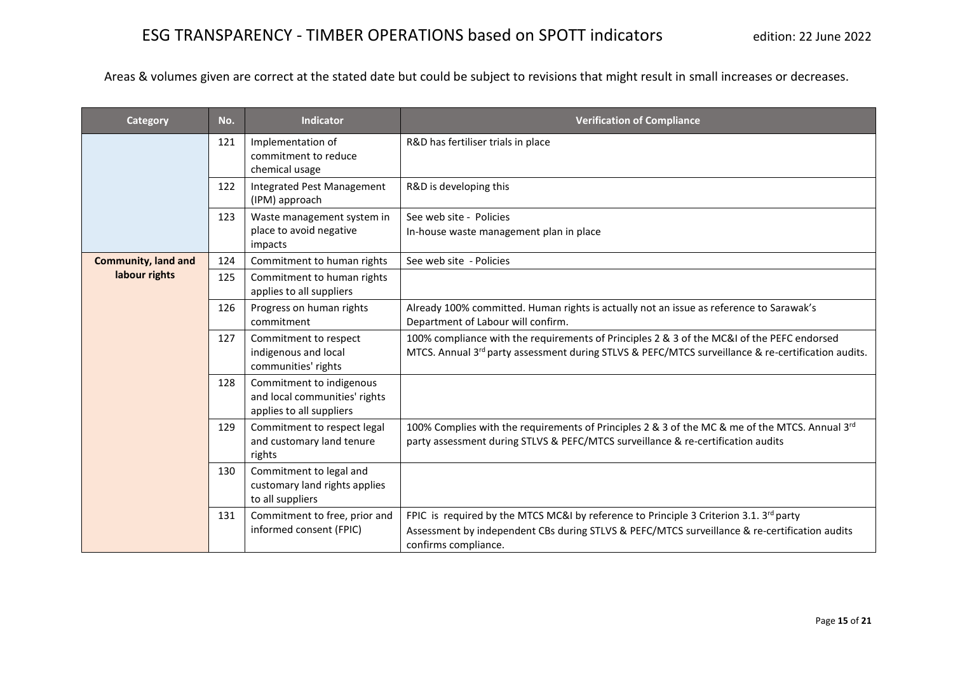| <b>Category</b>            | No. | <b>Indicator</b>                                                                      | <b>Verification of Compliance</b>                                                                                                                                                                                           |
|----------------------------|-----|---------------------------------------------------------------------------------------|-----------------------------------------------------------------------------------------------------------------------------------------------------------------------------------------------------------------------------|
|                            | 121 | Implementation of<br>commitment to reduce<br>chemical usage                           | R&D has fertiliser trials in place                                                                                                                                                                                          |
|                            | 122 | <b>Integrated Pest Management</b><br>(IPM) approach                                   | R&D is developing this                                                                                                                                                                                                      |
|                            | 123 | Waste management system in<br>place to avoid negative<br>impacts                      | See web site - Policies<br>In-house waste management plan in place                                                                                                                                                          |
| <b>Community, land and</b> | 124 | Commitment to human rights                                                            | See web site - Policies                                                                                                                                                                                                     |
| labour rights              | 125 | Commitment to human rights<br>applies to all suppliers                                |                                                                                                                                                                                                                             |
|                            | 126 | Progress on human rights<br>commitment                                                | Already 100% committed. Human rights is actually not an issue as reference to Sarawak's<br>Department of Labour will confirm.                                                                                               |
|                            | 127 | Commitment to respect<br>indigenous and local<br>communities' rights                  | 100% compliance with the requirements of Principles 2 & 3 of the MC&I of the PEFC endorsed<br>MTCS. Annual 3rd party assessment during STLVS & PEFC/MTCS surveillance & re-certification audits.                            |
|                            | 128 | Commitment to indigenous<br>and local communities' rights<br>applies to all suppliers |                                                                                                                                                                                                                             |
|                            | 129 | Commitment to respect legal<br>and customary land tenure<br>rights                    | 100% Complies with the requirements of Principles 2 & 3 of the MC & me of the MTCS. Annual 3rd<br>party assessment during STLVS & PEFC/MTCS surveillance & re-certification audits                                          |
|                            | 130 | Commitment to legal and<br>customary land rights applies<br>to all suppliers          |                                                                                                                                                                                                                             |
|                            | 131 | Commitment to free, prior and<br>informed consent (FPIC)                              | FPIC is required by the MTCS MC&I by reference to Principle 3 Criterion 3.1. 3 <sup>rd</sup> party<br>Assessment by independent CBs during STLVS & PEFC/MTCS surveillance & re-certification audits<br>confirms compliance. |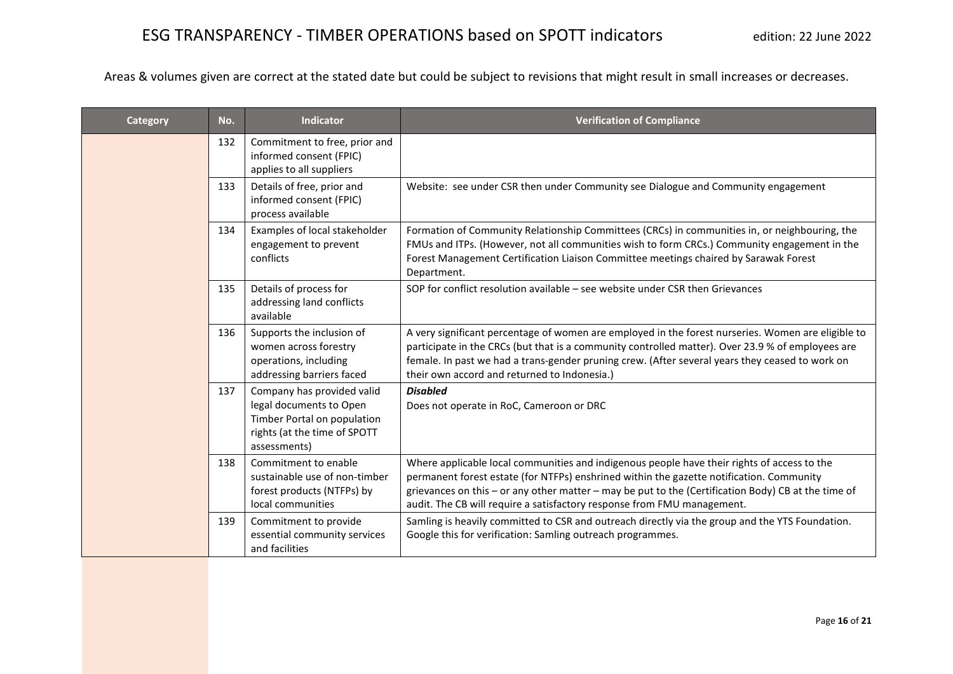| Category | No. | <b>Indicator</b>                                                                                                                     | <b>Verification of Compliance</b>                                                                                                                                                                                                                                                                                                                                         |
|----------|-----|--------------------------------------------------------------------------------------------------------------------------------------|---------------------------------------------------------------------------------------------------------------------------------------------------------------------------------------------------------------------------------------------------------------------------------------------------------------------------------------------------------------------------|
|          | 132 | Commitment to free, prior and<br>informed consent (FPIC)<br>applies to all suppliers                                                 |                                                                                                                                                                                                                                                                                                                                                                           |
|          | 133 | Details of free, prior and<br>informed consent (FPIC)<br>process available                                                           | Website: see under CSR then under Community see Dialogue and Community engagement                                                                                                                                                                                                                                                                                         |
|          | 134 | Examples of local stakeholder<br>engagement to prevent<br>conflicts                                                                  | Formation of Community Relationship Committees (CRCs) in communities in, or neighbouring, the<br>FMUs and ITPs. (However, not all communities wish to form CRCs.) Community engagement in the<br>Forest Management Certification Liaison Committee meetings chaired by Sarawak Forest<br>Department.                                                                      |
|          | 135 | Details of process for<br>addressing land conflicts<br>available                                                                     | SOP for conflict resolution available – see website under CSR then Grievances                                                                                                                                                                                                                                                                                             |
|          | 136 | Supports the inclusion of<br>women across forestry<br>operations, including<br>addressing barriers faced                             | A very significant percentage of women are employed in the forest nurseries. Women are eligible to<br>participate in the CRCs (but that is a community controlled matter). Over 23.9 % of employees are<br>female. In past we had a trans-gender pruning crew. (After several years they ceased to work on<br>their own accord and returned to Indonesia.)                |
|          | 137 | Company has provided valid<br>legal documents to Open<br>Timber Portal on population<br>rights (at the time of SPOTT<br>assessments) | <b>Disabled</b><br>Does not operate in RoC, Cameroon or DRC                                                                                                                                                                                                                                                                                                               |
|          | 138 | Commitment to enable<br>sustainable use of non-timber<br>forest products (NTFPs) by<br>local communities                             | Where applicable local communities and indigenous people have their rights of access to the<br>permanent forest estate (for NTFPs) enshrined within the gazette notification. Community<br>grievances on this - or any other matter - may be put to the (Certification Body) CB at the time of<br>audit. The CB will require a satisfactory response from FMU management. |
|          | 139 | Commitment to provide<br>essential community services<br>and facilities                                                              | Samling is heavily committed to CSR and outreach directly via the group and the YTS Foundation.<br>Google this for verification: Samling outreach programmes.                                                                                                                                                                                                             |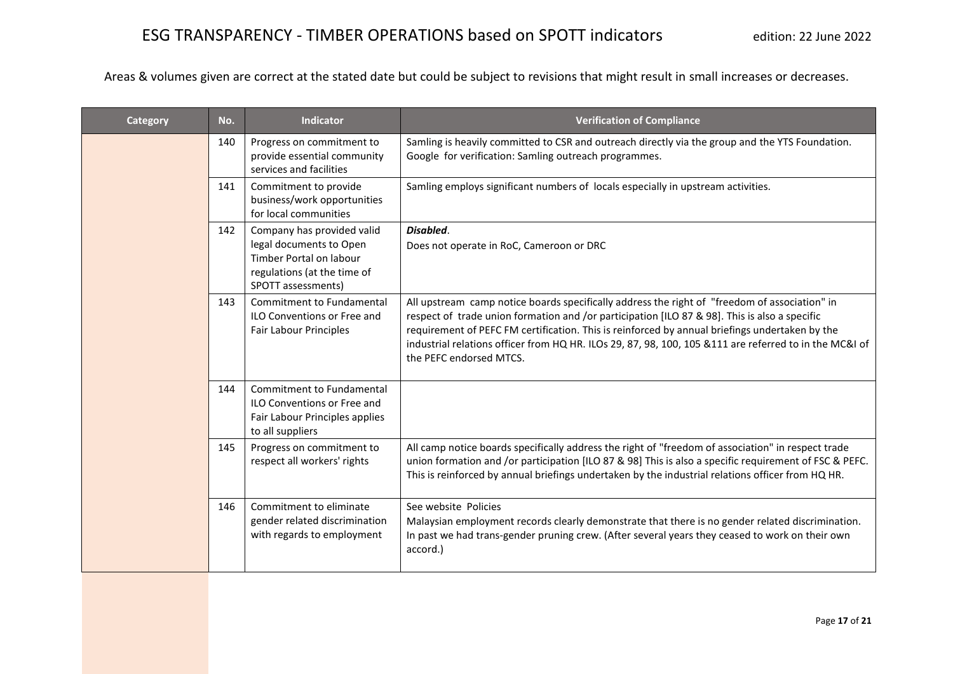| Category | No. | <b>Indicator</b>                                                                                                                      | <b>Verification of Compliance</b>                                                                                                                                                                                                                                                                                                                                                                                                      |
|----------|-----|---------------------------------------------------------------------------------------------------------------------------------------|----------------------------------------------------------------------------------------------------------------------------------------------------------------------------------------------------------------------------------------------------------------------------------------------------------------------------------------------------------------------------------------------------------------------------------------|
|          | 140 | Progress on commitment to<br>provide essential community<br>services and facilities                                                   | Samling is heavily committed to CSR and outreach directly via the group and the YTS Foundation.<br>Google for verification: Samling outreach programmes.                                                                                                                                                                                                                                                                               |
|          | 141 | Commitment to provide<br>business/work opportunities<br>for local communities                                                         | Samling employs significant numbers of locals especially in upstream activities.                                                                                                                                                                                                                                                                                                                                                       |
|          | 142 | Company has provided valid<br>legal documents to Open<br>Timber Portal on labour<br>regulations (at the time of<br>SPOTT assessments) | Disabled.<br>Does not operate in RoC, Cameroon or DRC                                                                                                                                                                                                                                                                                                                                                                                  |
|          | 143 | <b>Commitment to Fundamental</b><br><b>ILO Conventions or Free and</b><br>Fair Labour Principles                                      | All upstream camp notice boards specifically address the right of "freedom of association" in<br>respect of trade union formation and /or participation [ILO 87 & 98]. This is also a specific<br>requirement of PEFC FM certification. This is reinforced by annual briefings undertaken by the<br>industrial relations officer from HQ HR. ILOs 29, 87, 98, 100, 105 & 111 are referred to in the MC&I of<br>the PEFC endorsed MTCS. |
|          | 144 | Commitment to Fundamental<br><b>ILO Conventions or Free and</b><br>Fair Labour Principles applies<br>to all suppliers                 |                                                                                                                                                                                                                                                                                                                                                                                                                                        |
|          | 145 | Progress on commitment to<br>respect all workers' rights                                                                              | All camp notice boards specifically address the right of "freedom of association" in respect trade<br>union formation and /or participation [ILO 87 & 98] This is also a specific requirement of FSC & PEFC.<br>This is reinforced by annual briefings undertaken by the industrial relations officer from HQ HR.                                                                                                                      |
|          | 146 | Commitment to eliminate<br>gender related discrimination<br>with regards to employment                                                | See website Policies<br>Malaysian employment records clearly demonstrate that there is no gender related discrimination.<br>In past we had trans-gender pruning crew. (After several years they ceased to work on their own<br>accord.)                                                                                                                                                                                                |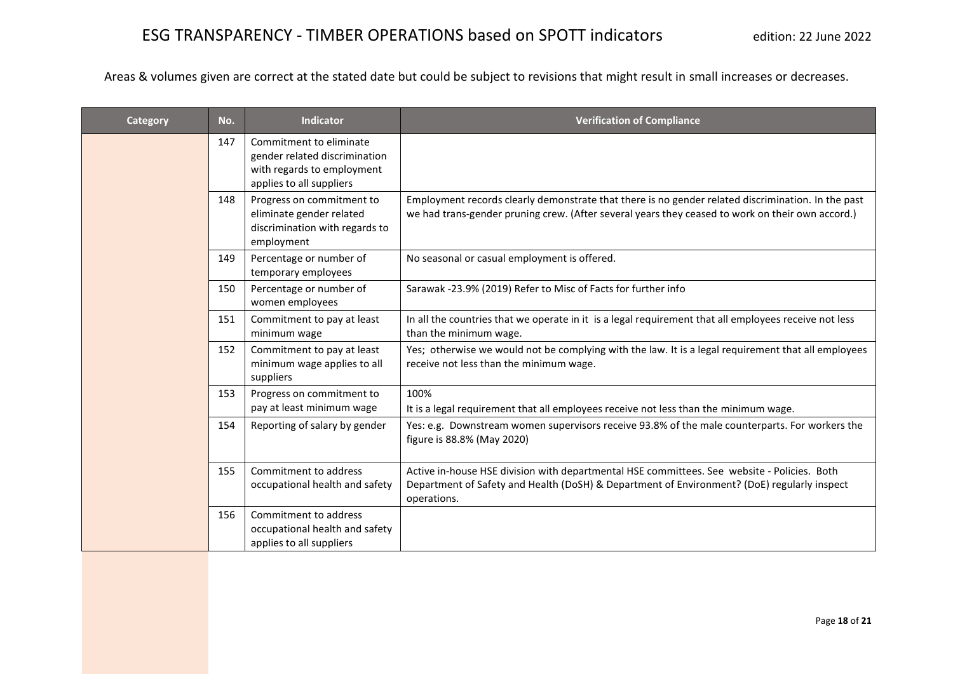| Category | No. | <b>Indicator</b>                                                                                                   | <b>Verification of Compliance</b>                                                                                                                                                                         |
|----------|-----|--------------------------------------------------------------------------------------------------------------------|-----------------------------------------------------------------------------------------------------------------------------------------------------------------------------------------------------------|
|          | 147 | Commitment to eliminate<br>gender related discrimination<br>with regards to employment<br>applies to all suppliers |                                                                                                                                                                                                           |
|          | 148 | Progress on commitment to<br>eliminate gender related<br>discrimination with regards to<br>employment              | Employment records clearly demonstrate that there is no gender related discrimination. In the past<br>we had trans-gender pruning crew. (After several years they ceased to work on their own accord.)    |
|          | 149 | Percentage or number of<br>temporary employees                                                                     | No seasonal or casual employment is offered.                                                                                                                                                              |
|          | 150 | Percentage or number of<br>women employees                                                                         | Sarawak -23.9% (2019) Refer to Misc of Facts for further info                                                                                                                                             |
|          | 151 | Commitment to pay at least<br>minimum wage                                                                         | In all the countries that we operate in it is a legal requirement that all employees receive not less<br>than the minimum wage.                                                                           |
|          | 152 | Commitment to pay at least<br>minimum wage applies to all<br>suppliers                                             | Yes; otherwise we would not be complying with the law. It is a legal requirement that all employees<br>receive not less than the minimum wage.                                                            |
|          | 153 | Progress on commitment to<br>pay at least minimum wage                                                             | 100%<br>It is a legal requirement that all employees receive not less than the minimum wage.                                                                                                              |
|          | 154 | Reporting of salary by gender                                                                                      | Yes: e.g. Downstream women supervisors receive 93.8% of the male counterparts. For workers the<br>figure is 88.8% (May 2020)                                                                              |
|          | 155 | Commitment to address<br>occupational health and safety                                                            | Active in-house HSE division with departmental HSE committees. See website - Policies. Both<br>Department of Safety and Health (DoSH) & Department of Environment? (DoE) regularly inspect<br>operations. |
|          | 156 | Commitment to address<br>occupational health and safety<br>applies to all suppliers                                |                                                                                                                                                                                                           |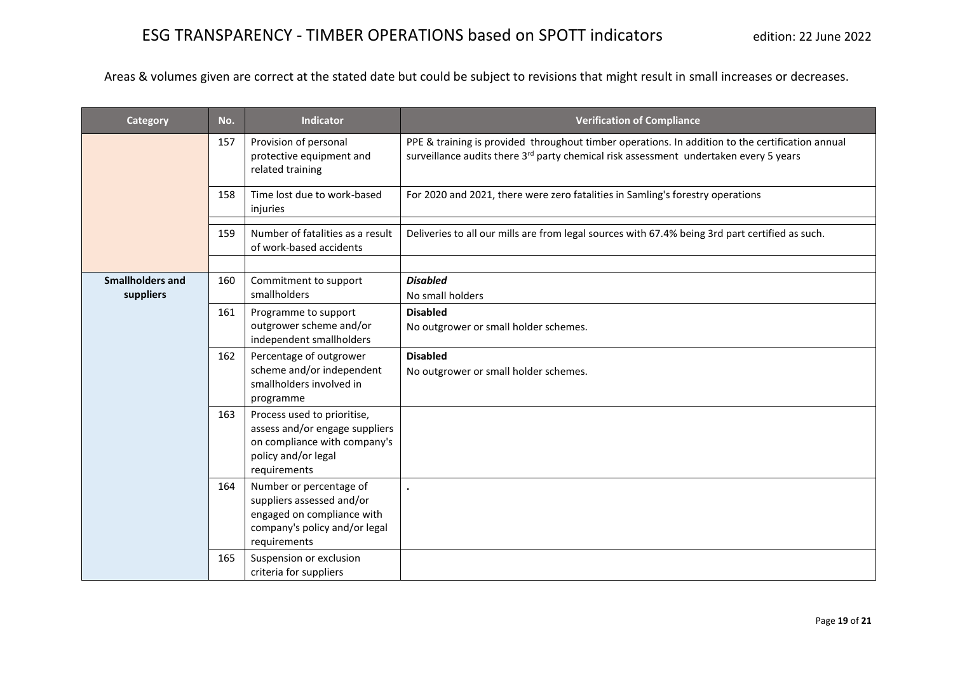| Category                | No. | <b>Indicator</b>                                                                                                                     | <b>Verification of Compliance</b>                                                                                                                                                                     |
|-------------------------|-----|--------------------------------------------------------------------------------------------------------------------------------------|-------------------------------------------------------------------------------------------------------------------------------------------------------------------------------------------------------|
|                         | 157 | Provision of personal<br>protective equipment and<br>related training                                                                | PPE & training is provided throughout timber operations. In addition to the certification annual<br>surveillance audits there 3 <sup>rd</sup> party chemical risk assessment undertaken every 5 years |
|                         | 158 | Time lost due to work-based<br>injuries                                                                                              | For 2020 and 2021, there were zero fatalities in Samling's forestry operations                                                                                                                        |
|                         | 159 | Number of fatalities as a result<br>of work-based accidents                                                                          | Deliveries to all our mills are from legal sources with 67.4% being 3rd part certified as such.                                                                                                       |
|                         |     |                                                                                                                                      |                                                                                                                                                                                                       |
| <b>Smallholders and</b> | 160 | Commitment to support                                                                                                                | <b>Disabled</b>                                                                                                                                                                                       |
| suppliers               |     | smallholders                                                                                                                         | No small holders                                                                                                                                                                                      |
|                         | 161 | Programme to support                                                                                                                 | <b>Disabled</b>                                                                                                                                                                                       |
|                         |     | outgrower scheme and/or                                                                                                              | No outgrower or small holder schemes.                                                                                                                                                                 |
|                         |     | independent smallholders                                                                                                             |                                                                                                                                                                                                       |
|                         | 162 | Percentage of outgrower                                                                                                              | <b>Disabled</b>                                                                                                                                                                                       |
|                         |     | scheme and/or independent<br>smallholders involved in                                                                                | No outgrower or small holder schemes.                                                                                                                                                                 |
|                         |     | programme                                                                                                                            |                                                                                                                                                                                                       |
|                         | 163 | Process used to prioritise,<br>assess and/or engage suppliers<br>on compliance with company's<br>policy and/or legal<br>requirements |                                                                                                                                                                                                       |
|                         | 164 | Number or percentage of<br>suppliers assessed and/or<br>engaged on compliance with<br>company's policy and/or legal<br>requirements  |                                                                                                                                                                                                       |
|                         | 165 | Suspension or exclusion<br>criteria for suppliers                                                                                    |                                                                                                                                                                                                       |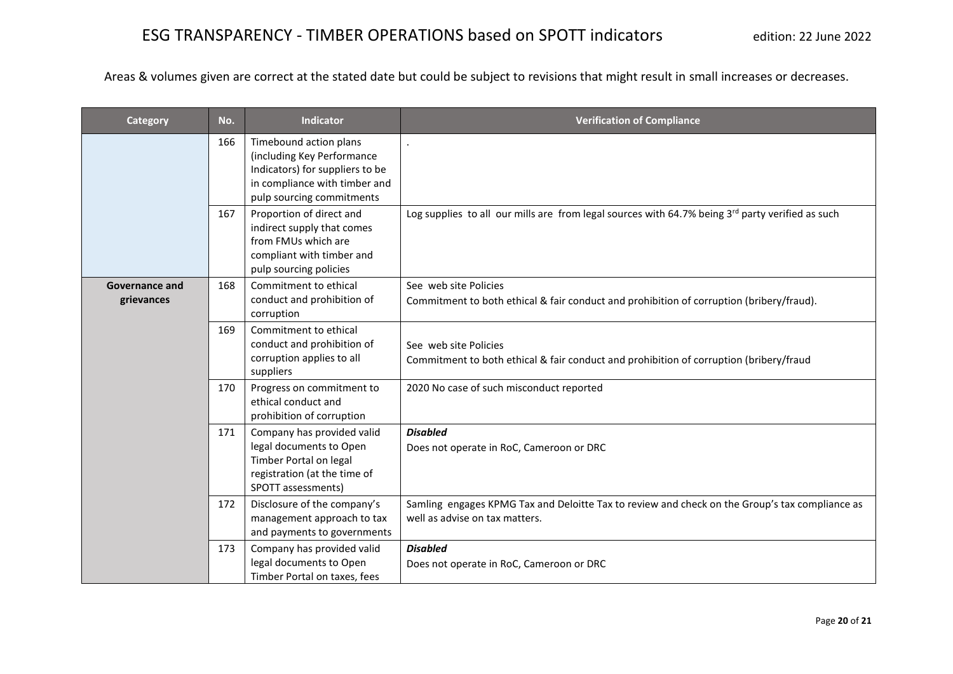| <b>Category</b>                     | No. | <b>Indicator</b>                                                                                                                                      | <b>Verification of Compliance</b>                                                                                                |
|-------------------------------------|-----|-------------------------------------------------------------------------------------------------------------------------------------------------------|----------------------------------------------------------------------------------------------------------------------------------|
|                                     | 166 | Timebound action plans<br>(including Key Performance<br>Indicators) for suppliers to be<br>in compliance with timber and<br>pulp sourcing commitments |                                                                                                                                  |
|                                     | 167 | Proportion of direct and<br>indirect supply that comes<br>from FMUs which are<br>compliant with timber and<br>pulp sourcing policies                  | Log supplies to all our mills are from legal sources with 64.7% being $3^{rd}$ party verified as such                            |
| <b>Governance and</b><br>grievances | 168 | Commitment to ethical<br>conduct and prohibition of<br>corruption                                                                                     | See web site Policies<br>Commitment to both ethical & fair conduct and prohibition of corruption (bribery/fraud).                |
|                                     | 169 | Commitment to ethical<br>conduct and prohibition of<br>corruption applies to all<br>suppliers                                                         | See web site Policies<br>Commitment to both ethical & fair conduct and prohibition of corruption (bribery/fraud                  |
|                                     | 170 | Progress on commitment to<br>ethical conduct and<br>prohibition of corruption                                                                         | 2020 No case of such misconduct reported                                                                                         |
|                                     | 171 | Company has provided valid<br>legal documents to Open<br>Timber Portal on legal<br>registration (at the time of<br>SPOTT assessments)                 | <b>Disabled</b><br>Does not operate in RoC, Cameroon or DRC                                                                      |
|                                     | 172 | Disclosure of the company's<br>management approach to tax<br>and payments to governments                                                              | Samling engages KPMG Tax and Deloitte Tax to review and check on the Group's tax compliance as<br>well as advise on tax matters. |
|                                     | 173 | Company has provided valid<br>legal documents to Open<br>Timber Portal on taxes, fees                                                                 | <b>Disabled</b><br>Does not operate in RoC, Cameroon or DRC                                                                      |